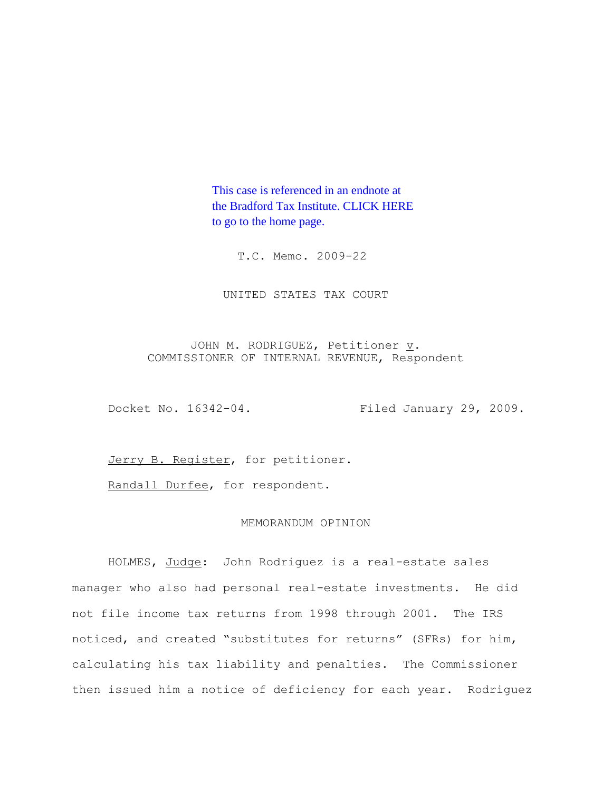This case is referenced in an endnote at [the Bradford Tax Institute. CLICK HERE](http://www.bradfordtaxinstitute.com/)  to go to the home page.

T.C. Memo. 2009-22

UNITED STATES TAX COURT

JOHN M. RODRIGUEZ, Petitioner  $\underline{v}$ . COMMISSIONER OF INTERNAL REVENUE, Respondent

Docket No. 16342-04. Filed January 29, 2009.

Jerry B. Register, for petitioner.

Randall Durfee, for respondent.

## MEMORANDUM OPINION

HOLMES, Judge: John Rodriguez is a real-estate sales manager who also had personal real-estate investments. He did not file income tax returns from 1998 through 2001. The IRS noticed, and created "substitutes for returns" (SFRs) for him, calculating his tax liability and penalties. The Commissioner then issued him a notice of deficiency for each year. Rodriguez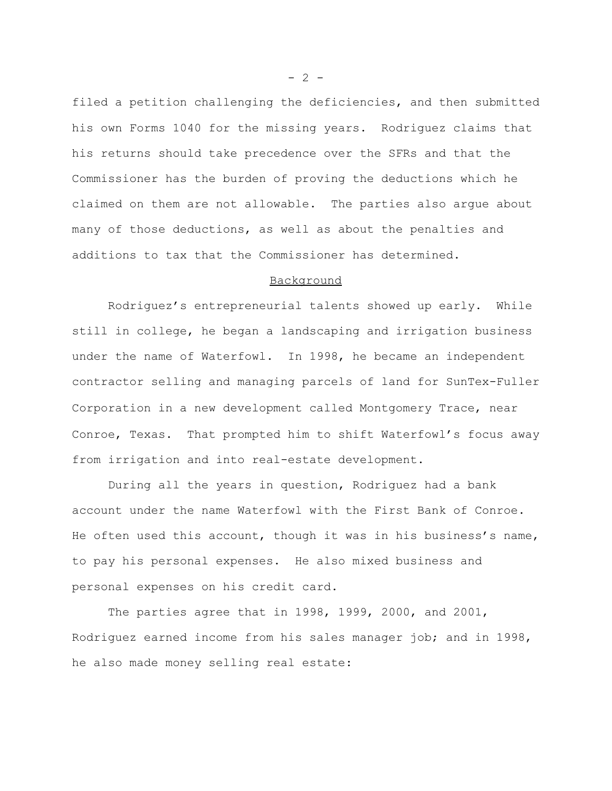filed a petition challenging the deficiencies, and then submitted his own Forms 1040 for the missing years. Rodriguez claims that his returns should take precedence over the SFRs and that the Commissioner has the burden of proving the deductions which he claimed on them are not allowable. The parties also argue about many of those deductions, as well as about the penalties and additions to tax that the Commissioner has determined.

# Background

Rodriguez's entrepreneurial talents showed up early. While still in college, he began a landscaping and irrigation business under the name of Waterfowl. In 1998, he became an independent contractor selling and managing parcels of land for SunTex-Fuller Corporation in a new development called Montgomery Trace, near Conroe, Texas. That prompted him to shift Waterfowl's focus away from irrigation and into real-estate development.

During all the years in question, Rodriguez had a bank account under the name Waterfowl with the First Bank of Conroe. He often used this account, though it was in his business's name, to pay his personal expenses. He also mixed business and personal expenses on his credit card.

The parties agree that in 1998, 1999, 2000, and 2001, Rodriguez earned income from his sales manager job; and in 1998, he also made money selling real estate:

 $- 2 -$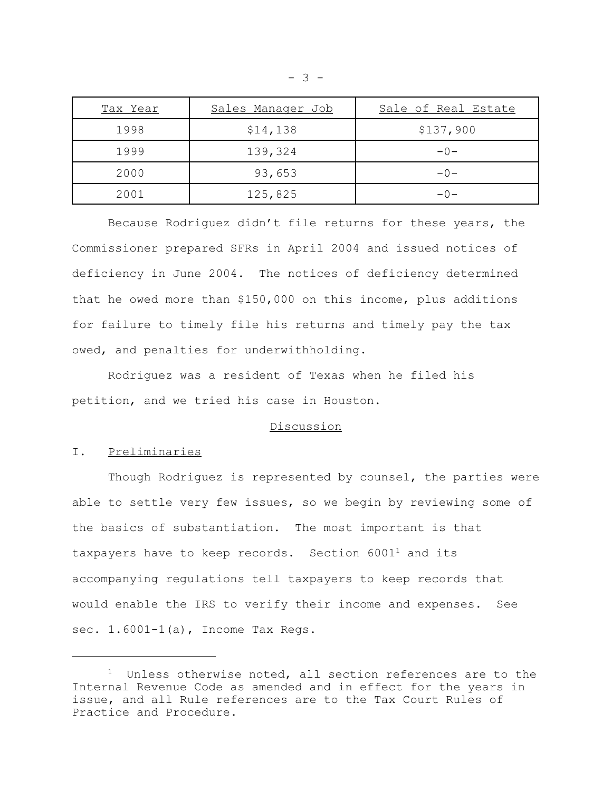| Tax Year | Sales Manager Job | Sale of Real Estate |
|----------|-------------------|---------------------|
| 1998     | \$14,138          | \$137,900           |
| 1999     | 139,324           | $-0-$               |
| 2000     | 93,653            | $-0-$               |
| 2001     | 125,825           | $-0-$               |

Because Rodriguez didn't file returns for these years, the Commissioner prepared SFRs in April 2004 and issued notices of deficiency in June 2004. The notices of deficiency determined that he owed more than \$150,000 on this income, plus additions for failure to timely file his returns and timely pay the tax owed, and penalties for underwithholding.

Rodriguez was a resident of Texas when he filed his petition, and we tried his case in Houston.

## Discussion

# I. Preliminaries

Though Rodriguez is represented by counsel, the parties were able to settle very few issues, so we begin by reviewing some of the basics of substantiation. The most important is that taxpayers have to keep records. Section  $6001<sup>1</sup>$  and its accompanying regulations tell taxpayers to keep records that would enable the IRS to verify their income and expenses. See sec. 1.6001-1(a), Income Tax Regs.

 $1$  Unless otherwise noted, all section references are to the Internal Revenue Code as amended and in effect for the years in issue, and all Rule references are to the Tax Court Rules of Practice and Procedure.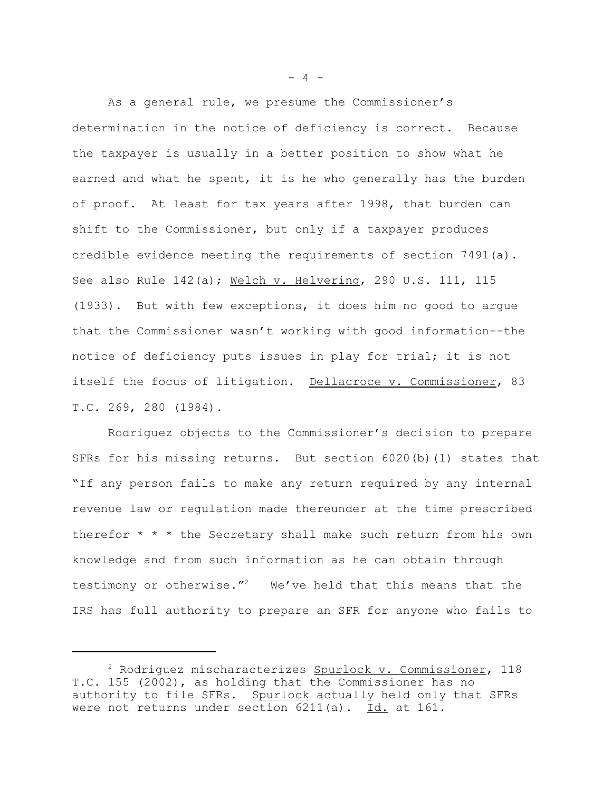As a general rule, we presume the Commissioner's determination in the notice of deficiency is correct. Because the taxpayer is usually in a better position to show what he earned and what he spent, it is he who generally has the burden of proof. At least for tax years after 1998, that burden can shift to the Commissioner, but only if a taxpayer produces credible evidence meeting the requirements of section 7491(a). See also Rule 142(a); Welch v. Helvering, 290 U.S. 111, 115 (1933). But with few exceptions, it does him no good to argue that the Commissioner wasn't working with good information--the notice of deficiency puts issues in play for trial; it is not itself the focus of litigation. Dellacroce v. Commissioner, 83 T.C. 269, 280 (1984).

Rodriguez objects to the Commissioner's decision to prepare SFRs for his missing returns. But section 6020(b)(1) states that "If any person fails to make any return required by any internal revenue law or regulation made thereunder at the time prescribed therefor \* \* \* the Secretary shall make such return from his own knowledge and from such information as he can obtain through testimony or otherwise."<sup>2</sup> We've held that this means that the IRS has full authority to prepare an SFR for anyone who fails to

 $- 4 -$ 

<sup>&</sup>lt;sup>2</sup> Rodriguez mischaracterizes Spurlock v. Commissioner, 118 T.C. 155 (2002), as holding that the Commissioner has no authority to file SFRs. Spurlock actually held only that SFRs were not returns under section 6211(a). Id. at 161.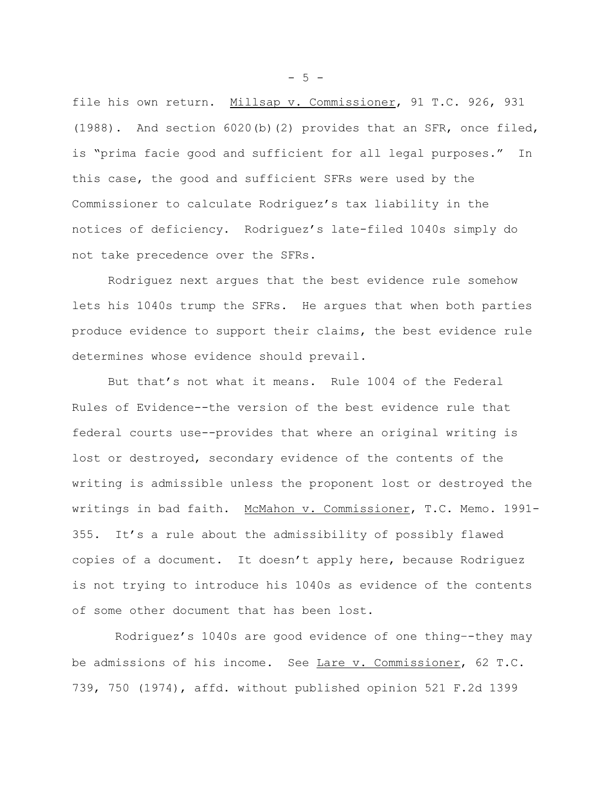file his own return. Millsap v. Commissioner, 91 T.C. 926, 931 (1988). And section 6020(b)(2) provides that an SFR, once filed, is "prima facie good and sufficient for all legal purposes." In this case, the good and sufficient SFRs were used by the Commissioner to calculate Rodriguez's tax liability in the notices of deficiency. Rodriguez's late-filed 1040s simply do not take precedence over the SFRs.

Rodriguez next argues that the best evidence rule somehow lets his 1040s trump the SFRs. He argues that when both parties produce evidence to support their claims, the best evidence rule determines whose evidence should prevail.

But that's not what it means. Rule 1004 of the Federal Rules of Evidence--the version of the best evidence rule that federal courts use--provides that where an original writing is lost or destroyed, secondary evidence of the contents of the writing is admissible unless the proponent lost or destroyed the writings in bad faith. McMahon v. Commissioner, T.C. Memo. 1991-355. It's a rule about the admissibility of possibly flawed copies of a document. It doesn't apply here, because Rodriguez is not trying to introduce his 1040s as evidence of the contents of some other document that has been lost.

Rodriguez's 1040s are good evidence of one thing–-they may be admissions of his income. See Lare v. Commissioner, 62 T.C. 739, 750 (1974), affd. without published opinion 521 F.2d 1399

 $-5 -$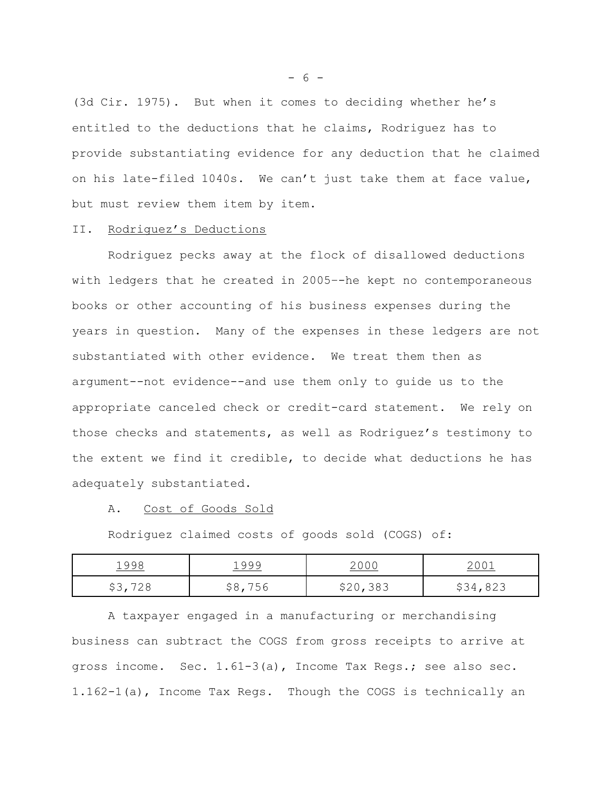(3d Cir. 1975). But when it comes to deciding whether he's entitled to the deductions that he claims, Rodriguez has to provide substantiating evidence for any deduction that he claimed on his late-filed 1040s. We can't just take them at face value, but must review them item by item.

## II. Rodriguez's Deductions

Rodriguez pecks away at the flock of disallowed deductions with ledgers that he created in 2005–-he kept no contemporaneous books or other accounting of his business expenses during the years in question. Many of the expenses in these ledgers are not substantiated with other evidence. We treat them then as argument--not evidence--and use them only to guide us to the appropriate canceled check or credit-card statement. We rely on those checks and statements, as well as Rodriguez's testimony to the extent we find it credible, to decide what deductions he has adequately substantiated.

## A. Cost of Goods Sold

Rodriguez claimed costs of goods sold (COGS) of:

| 1998             | 1999       | <u> 2 0 0 0</u> | $. \cap$ $\lnot$<br>$  -$                  |
|------------------|------------|-----------------|--------------------------------------------|
| ワクロ<br>ں ب<br>ZΟ | 756<br>↩○, | \$20,383        | $\Omega$ $\Omega$ $\Omega$<br>\$34<br>02 J |

A taxpayer engaged in a manufacturing or merchandising business can subtract the COGS from gross receipts to arrive at gross income. Sec. 1.61-3(a), Income Tax Regs.; see also sec. 1.162-1(a), Income Tax Regs. Though the COGS is technically an

 $- 6 -$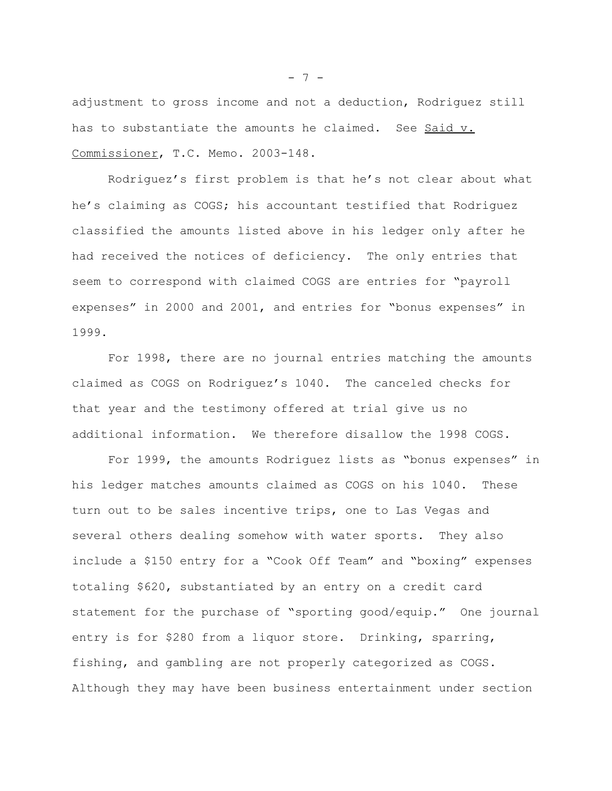adjustment to gross income and not a deduction, Rodriguez still has to substantiate the amounts he claimed. See Said v. Commissioner, T.C. Memo. 2003-148.

Rodriguez's first problem is that he's not clear about what he's claiming as COGS; his accountant testified that Rodriguez classified the amounts listed above in his ledger only after he had received the notices of deficiency. The only entries that seem to correspond with claimed COGS are entries for "payroll expenses" in 2000 and 2001, and entries for "bonus expenses" in 1999.

For 1998, there are no journal entries matching the amounts claimed as COGS on Rodriguez's 1040. The canceled checks for that year and the testimony offered at trial give us no additional information. We therefore disallow the 1998 COGS.

For 1999, the amounts Rodriguez lists as "bonus expenses" in his ledger matches amounts claimed as COGS on his 1040. These turn out to be sales incentive trips, one to Las Vegas and several others dealing somehow with water sports. They also include a \$150 entry for a "Cook Off Team" and "boxing" expenses totaling \$620, substantiated by an entry on a credit card statement for the purchase of "sporting good/equip." One journal entry is for \$280 from a liquor store. Drinking, sparring, fishing, and gambling are not properly categorized as COGS. Although they may have been business entertainment under section

 $- 7 -$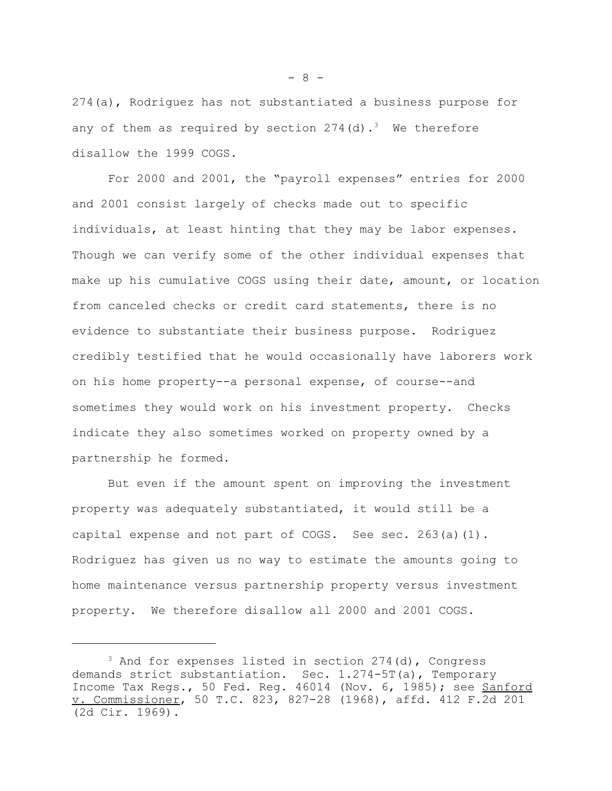274(a), Rodriguez has not substantiated a business purpose for any of them as required by section  $274(d) \cdot$ <sup>3</sup> We therefore disallow the 1999 COGS.

For 2000 and 2001, the "payroll expenses" entries for 2000 and 2001 consist largely of checks made out to specific individuals, at least hinting that they may be labor expenses. Though we can verify some of the other individual expenses that make up his cumulative COGS using their date, amount, or location from canceled checks or credit card statements, there is no evidence to substantiate their business purpose. Rodriguez credibly testified that he would occasionally have laborers work on his home property--a personal expense, of course--and sometimes they would work on his investment property. Checks indicate they also sometimes worked on property owned by a partnership he formed.

But even if the amount spent on improving the investment property was adequately substantiated, it would still be a capital expense and not part of COGS. See sec. 263(a)(1). Rodriguez has given us no way to estimate the amounts going to home maintenance versus partnership property versus investment property. We therefore disallow all 2000 and 2001 COGS.

 $- 8 -$ 

 $3$  And for expenses listed in section 274(d), Congress demands strict substantiation. Sec. 1.274-5T(a), Temporary Income Tax Regs., 50 Fed. Reg. 46014 (Nov. 6, 1985); see Sanford v. Commissioner, 50 T.C. 823, 827-28 (1968), affd. 412 F.2d 201 (2d Cir. 1969).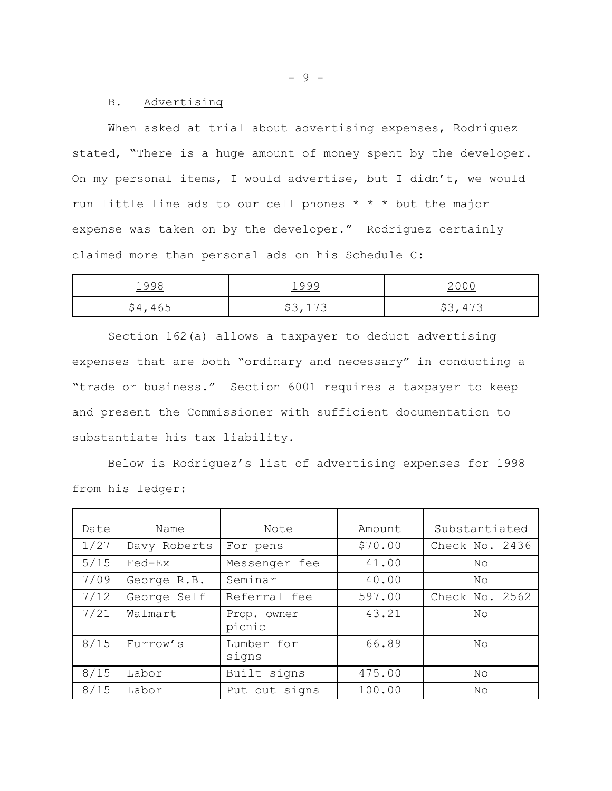#### B. Advertising

When asked at trial about advertising expenses, Rodriguez stated, "There is a huge amount of money spent by the developer. On my personal items, I would advertise, but I didn't, we would run little line ads to our cell phones \* \* \* but the major expense was taken on by the developer." Rodriguez certainly claimed more than personal ads on his Schedule C:

| 1998    | 1999    |         |
|---------|---------|---------|
| \$4,465 | \$3,173 | \$3,473 |

Section 162(a) allows a taxpayer to deduct advertising expenses that are both "ordinary and necessary" in conducting a "trade or business." Section 6001 requires a taxpayer to keep and present the Commissioner with sufficient documentation to substantiate his tax liability.

Below is Rodriguez's list of advertising expenses for 1998 from his ledger:

| Date   | Name         | Note                  | Amount  | Substantiated  |
|--------|--------------|-----------------------|---------|----------------|
| 1/27   | Davy Roberts | For pens              | \$70.00 | Check No. 2436 |
| $5/15$ | Fed-Ex       | Messenger fee         | 41.00   | No             |
| 7/09   | George R.B.  | Seminar               | 40.00   | No             |
| 7/12   | George Self  | Referral fee          | 597.00  | Check No. 2562 |
| 7/21   | Walmart      | Prop. owner<br>picnic | 43.21   | N <sub>O</sub> |
| 8/15   | Furrow's     | Lumber for<br>signs   | 66.89   | No             |
| 8/15   | Labor        | Built signs           | 475.00  | No             |
| 8/15   | Labor        | Put out signs         | 100.00  | No             |

- 9 -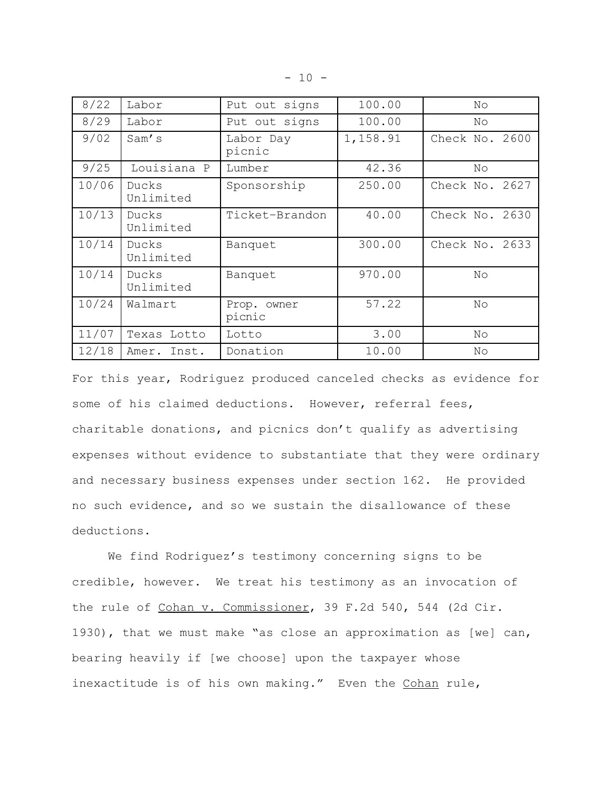|  | - |  |
|--|---|--|
|--|---|--|

| 8/22  | Labor              | Put out signs         | 100.00   | No             |
|-------|--------------------|-----------------------|----------|----------------|
| 8/29  | Labor              | Put out signs         | 100.00   | No             |
| 9/02  | Sam's              | Labor Day<br>picnic   | 1,158.91 | Check No. 2600 |
| 9/25  | Louisiana P        | Lumber                | 42.36    | No             |
| 10/06 | Ducks<br>Unlimited | Sponsorship           | 250.00   | Check No. 2627 |
| 10/13 | Ducks<br>Unlimited | Ticket-Brandon        | 40.00    | Check No. 2630 |
| 10/14 | Ducks<br>Unlimited | Banquet               | 300.00   | Check No. 2633 |
| 10/14 | Ducks<br>Unlimited | Banquet               | 970.00   | No             |
| 10/24 | Walmart            | Prop. owner<br>picnic | 57.22    | No             |
| 11/07 | Texas Lotto        | Lotto                 | 3.00     | No             |
| 12/18 | Amer.<br>Inst.     | Donation              | 10.00    | No             |

For this year, Rodriguez produced canceled checks as evidence for some of his claimed deductions. However, referral fees, charitable donations, and picnics don't qualify as advertising expenses without evidence to substantiate that they were ordinary and necessary business expenses under section 162. He provided no such evidence, and so we sustain the disallowance of these deductions.

We find Rodriguez's testimony concerning signs to be credible, however. We treat his testimony as an invocation of the rule of Cohan v. Commissioner, 39 F.2d 540, 544 (2d Cir. 1930), that we must make "as close an approximation as [we] can, bearing heavily if [we choose] upon the taxpayer whose inexactitude is of his own making." Even the Cohan rule,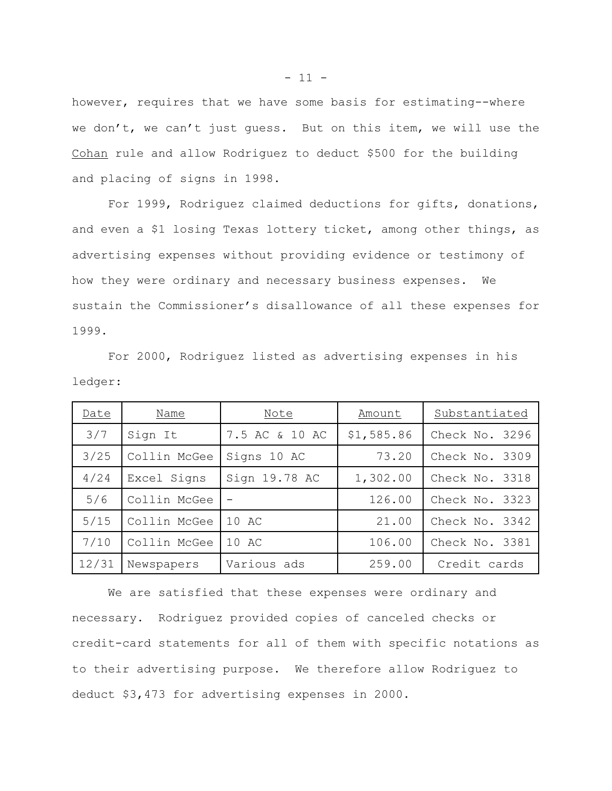however, requires that we have some basis for estimating--where we don't, we can't just guess. But on this item, we will use the Cohan rule and allow Rodriguez to deduct \$500 for the building and placing of signs in 1998.

For 1999, Rodriguez claimed deductions for gifts, donations, and even a \$1 losing Texas lottery ticket, among other things, as advertising expenses without providing evidence or testimony of how they were ordinary and necessary business expenses. We sustain the Commissioner's disallowance of all these expenses for 1999.

For 2000, Rodriguez listed as advertising expenses in his ledger:

| Date  | Name         | Note           | Amount     | Substantiated  |
|-------|--------------|----------------|------------|----------------|
| 3/7   | Sign It      | 7.5 AC & 10 AC | \$1,585.86 | Check No. 3296 |
| 3/25  | Collin McGee | Signs 10 AC    | 73.20      | Check No. 3309 |
| 4/24  | Excel Signs  | Sign 19.78 AC  | 1,302.00   | Check No. 3318 |
| 5/6   | Collin McGee |                | 126.00     | Check No. 3323 |
| 5/15  | Collin McGee | 10 AC          | 21.00      | Check No. 3342 |
| 7/10  | Collin McGee | 10 AC          | 106.00     | Check No. 3381 |
| 12/31 | Newspapers   | Various ads    | 259.00     | Credit cards   |

We are satisfied that these expenses were ordinary and necessary. Rodriguez provided copies of canceled checks or credit-card statements for all of them with specific notations as to their advertising purpose. We therefore allow Rodriguez to deduct \$3,473 for advertising expenses in 2000.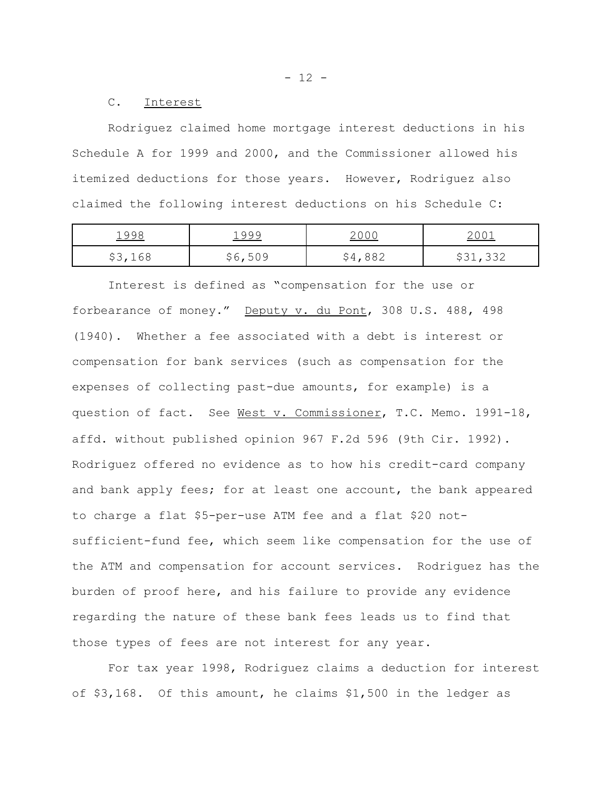C. Interest

Rodriguez claimed home mortgage interest deductions in his Schedule A for 1999 and 2000, and the Commissioner allowed his itemized deductions for those years. However, Rodriguez also claimed the following interest deductions on his Schedule C:

| 1998    | 1999       | $\sqrt{2}$ | $\cap$ 1<br><u>2001</u> |
|---------|------------|------------|-------------------------|
| \$3,168 | 500        | Y 7.       | \$31,332                |
| ں ب     | → ♡ ♪ JU ೨ | ◡◡▵        |                         |

Interest is defined as "compensation for the use or forbearance of money." Deputy v. du Pont, 308 U.S. 488, 498 (1940). Whether a fee associated with a debt is interest or compensation for bank services (such as compensation for the expenses of collecting past-due amounts, for example) is a question of fact. See West v. Commissioner, T.C. Memo. 1991-18, affd. without published opinion 967 F.2d 596 (9th Cir. 1992). Rodriguez offered no evidence as to how his credit-card company and bank apply fees; for at least one account, the bank appeared to charge a flat \$5-per-use ATM fee and a flat \$20 notsufficient-fund fee, which seem like compensation for the use of the ATM and compensation for account services. Rodriguez has the burden of proof here, and his failure to provide any evidence regarding the nature of these bank fees leads us to find that those types of fees are not interest for any year.

For tax year 1998, Rodriguez claims a deduction for interest of \$3,168. Of this amount, he claims \$1,500 in the ledger as

 $- 12 -$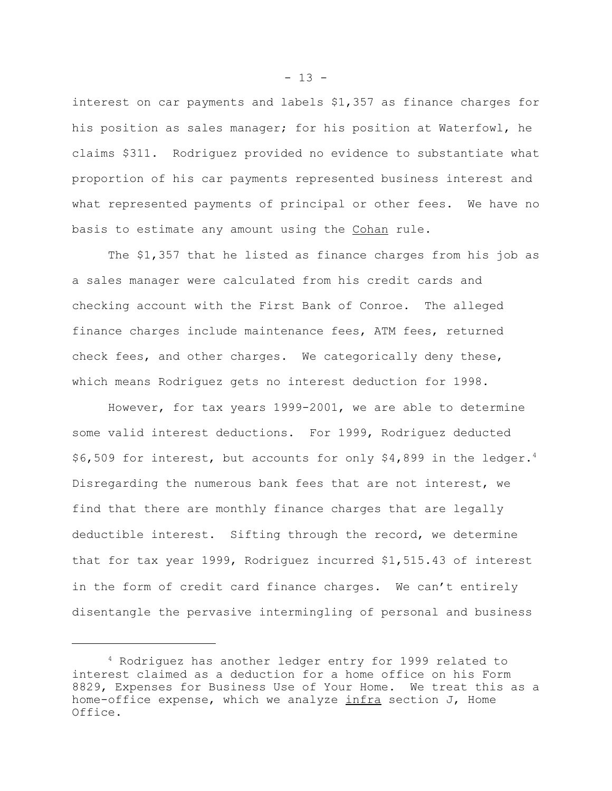interest on car payments and labels \$1,357 as finance charges for his position as sales manager; for his position at Waterfowl, he claims \$311. Rodriguez provided no evidence to substantiate what proportion of his car payments represented business interest and what represented payments of principal or other fees. We have no basis to estimate any amount using the Cohan rule.

The \$1,357 that he listed as finance charges from his job as a sales manager were calculated from his credit cards and checking account with the First Bank of Conroe. The alleged finance charges include maintenance fees, ATM fees, returned check fees, and other charges. We categorically deny these, which means Rodriguez gets no interest deduction for 1998.

However, for tax years 1999-2001, we are able to determine some valid interest deductions. For 1999, Rodriguez deducted \$6,509 for interest, but accounts for only \$4,899 in the ledger.<sup>4</sup> Disregarding the numerous bank fees that are not interest, we find that there are monthly finance charges that are legally deductible interest. Sifting through the record, we determine that for tax year 1999, Rodriguez incurred \$1,515.43 of interest in the form of credit card finance charges. We can't entirely disentangle the pervasive intermingling of personal and business

 $- 13 -$ 

<sup>4</sup> Rodriguez has another ledger entry for 1999 related to interest claimed as a deduction for a home office on his Form 8829, Expenses for Business Use of Your Home. We treat this as a home-office expense, which we analyze  $infra$  section J, Home Office.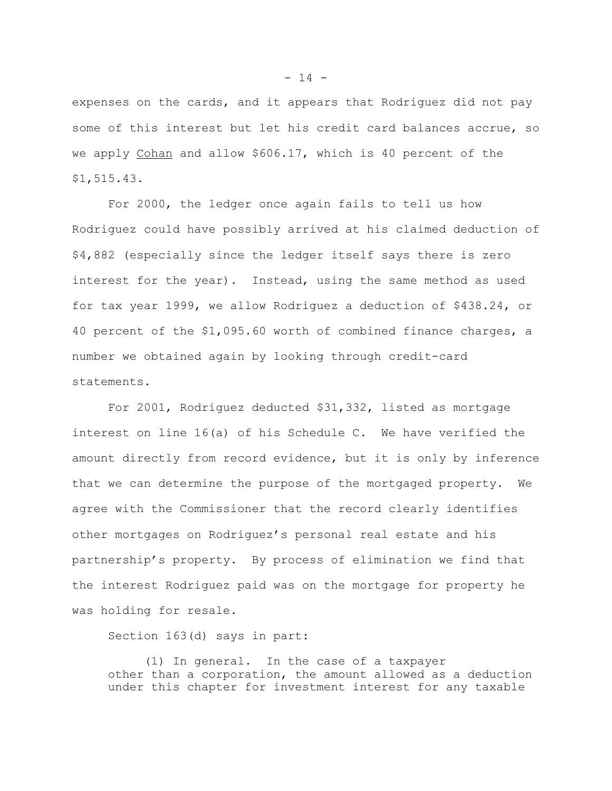expenses on the cards, and it appears that Rodriguez did not pay some of this interest but let his credit card balances accrue, so we apply Cohan and allow \$606.17, which is 40 percent of the \$1,515.43.

For 2000, the ledger once again fails to tell us how Rodriguez could have possibly arrived at his claimed deduction of \$4,882 (especially since the ledger itself says there is zero interest for the year). Instead, using the same method as used for tax year 1999, we allow Rodriguez a deduction of \$438.24, or 40 percent of the \$1,095.60 worth of combined finance charges, a number we obtained again by looking through credit-card statements.

For 2001, Rodriguez deducted \$31,332, listed as mortgage interest on line 16(a) of his Schedule C. We have verified the amount directly from record evidence, but it is only by inference that we can determine the purpose of the mortgaged property. We agree with the Commissioner that the record clearly identifies other mortgages on Rodriguez's personal real estate and his partnership's property. By process of elimination we find that the interest Rodriguez paid was on the mortgage for property he was holding for resale.

Section 163(d) says in part:

(1) In general. In the case of a taxpayer other than a corporation, the amount allowed as a deduction under this chapter for investment interest for any taxable

 $- 14 -$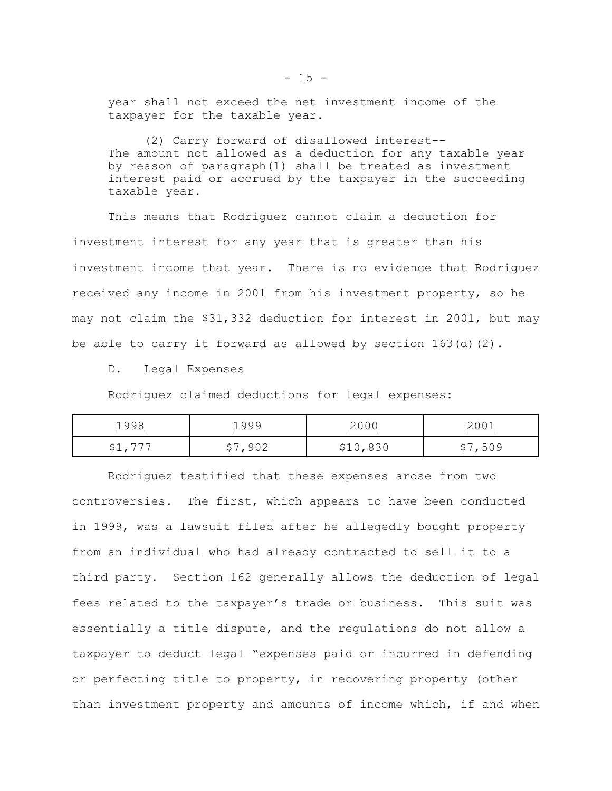year shall not exceed the net investment income of the taxpayer for the taxable year.

(2) Carry forward of disallowed interest-- The amount not allowed as a deduction for any taxable year by reason of paragraph(1) shall be treated as investment interest paid or accrued by the taxpayer in the succeeding taxable year.

This means that Rodriguez cannot claim a deduction for investment interest for any year that is greater than his investment income that year. There is no evidence that Rodriguez received any income in 2001 from his investment property, so he may not claim the \$31,332 deduction for interest in 2001, but may be able to carry it forward as allowed by section  $163(d)(2)$ .

#### D. Legal Expenses

Rodriguez claimed deductions for legal expenses:

| 1998              | 1999 | <u> 2006 </u> | $\sim$ 0 0 $\sim$ |
|-------------------|------|---------------|-------------------|
| - 775             | ا ب  | マエロ           | ,509              |
| $\forall \perp$ , |      | <u>ししし</u>    | ັ                 |

Rodriguez testified that these expenses arose from two controversies. The first, which appears to have been conducted in 1999, was a lawsuit filed after he allegedly bought property from an individual who had already contracted to sell it to a third party. Section 162 generally allows the deduction of legal fees related to the taxpayer's trade or business. This suit was essentially a title dispute, and the regulations do not allow a taxpayer to deduct legal "expenses paid or incurred in defending or perfecting title to property, in recovering property (other than investment property and amounts of income which, if and when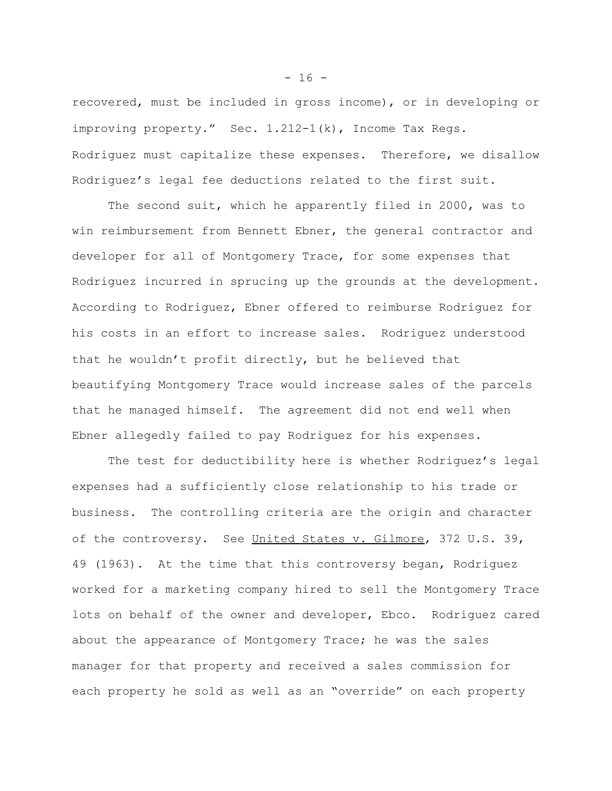recovered, must be included in gross income), or in developing or improving property." Sec. 1.212-1(k), Income Tax Regs. Rodriguez must capitalize these expenses. Therefore, we disallow Rodriguez's legal fee deductions related to the first suit.

The second suit, which he apparently filed in 2000, was to win reimbursement from Bennett Ebner, the general contractor and developer for all of Montgomery Trace, for some expenses that Rodriguez incurred in sprucing up the grounds at the development. According to Rodriguez, Ebner offered to reimburse Rodriguez for his costs in an effort to increase sales**.** Rodriguez understood that he wouldn't profit directly, but he believed that beautifying Montgomery Trace would increase sales of the parcels that he managed himself. The agreement did not end well when Ebner allegedly failed to pay Rodriguez for his expenses.

The test for deductibility here is whether Rodriguez's legal expenses had a sufficiently close relationship to his trade or business. The controlling criteria are the origin and character of the controversy. See United States v. Gilmore, 372 U.S. 39, 49 (1963). At the time that this controversy began, Rodriguez worked for a marketing company hired to sell the Montgomery Trace lots on behalf of the owner and developer, Ebco. Rodriguez cared about the appearance of Montgomery Trace; he was the sales manager for that property and received a sales commission for each property he sold as well as an "override" on each property

 $- 16 -$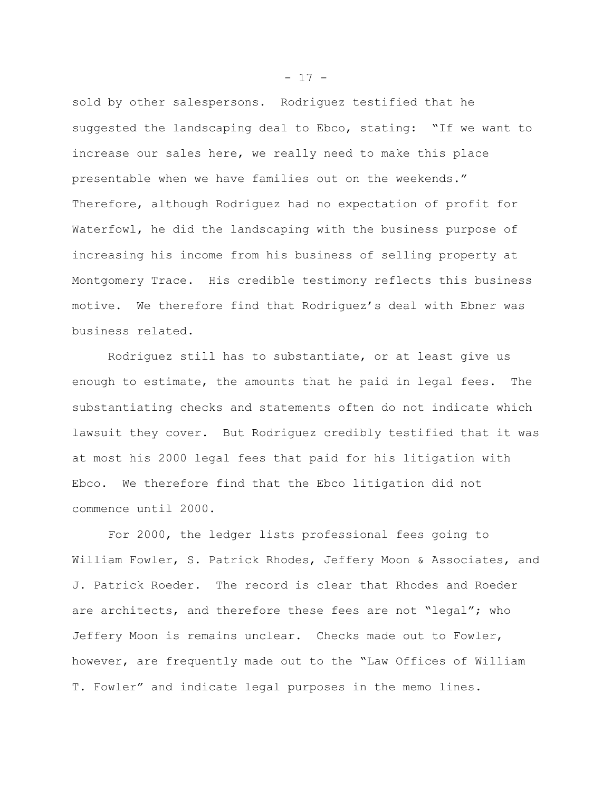sold by other salespersons. Rodriguez testified that he suggested the landscaping deal to Ebco, stating: "If we want to increase our sales here, we really need to make this place presentable when we have families out on the weekends." Therefore, although Rodriguez had no expectation of profit for Waterfowl, he did the landscaping with the business purpose of increasing his income from his business of selling property at Montgomery Trace. His credible testimony reflects this business motive. We therefore find that Rodriguez's deal with Ebner was business related.

Rodriguez still has to substantiate, or at least give us enough to estimate, the amounts that he paid in legal fees. The substantiating checks and statements often do not indicate which lawsuit they cover. But Rodriguez credibly testified that it was at most his 2000 legal fees that paid for his litigation with Ebco. We therefore find that the Ebco litigation did not commence until 2000.

For 2000, the ledger lists professional fees going to William Fowler, S. Patrick Rhodes, Jeffery Moon & Associates, and J. Patrick Roeder. The record is clear that Rhodes and Roeder are architects, and therefore these fees are not "legal"; who Jeffery Moon is remains unclear. Checks made out to Fowler, however, are frequently made out to the "Law Offices of William T. Fowler" and indicate legal purposes in the memo lines.

 $- 17 -$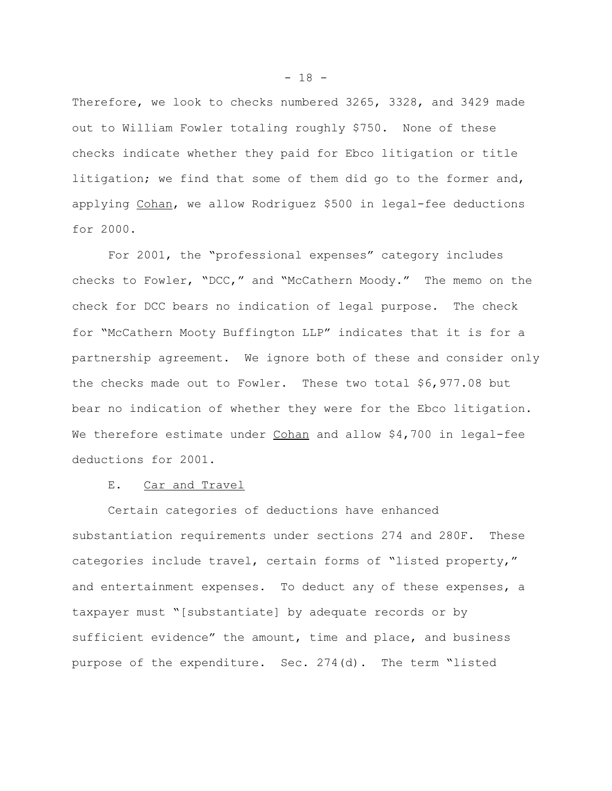Therefore, we look to checks numbered 3265, 3328, and 3429 made out to William Fowler totaling roughly \$750. None of these checks indicate whether they paid for Ebco litigation or title litigation; we find that some of them did go to the former and, applying Cohan, we allow Rodriguez \$500 in legal-fee deductions for 2000.

For 2001, the "professional expenses" category includes checks to Fowler, "DCC," and "McCathern Moody." The memo on the check for DCC bears no indication of legal purpose. The check for "McCathern Mooty Buffington LLP" indicates that it is for a partnership agreement. We ignore both of these and consider only the checks made out to Fowler. These two total \$6,977.08 but bear no indication of whether they were for the Ebco litigation. We therefore estimate under Cohan and allow \$4,700 in legal-fee deductions for 2001.

# E. Car and Travel

Certain categories of deductions have enhanced substantiation requirements under sections 274 and 280F. These categories include travel, certain forms of "listed property," and entertainment expenses. To deduct any of these expenses, a taxpayer must "[substantiate] by adequate records or by sufficient evidence" the amount, time and place, and business purpose of the expenditure. Sec. 274(d). The term "listed

 $- 18 -$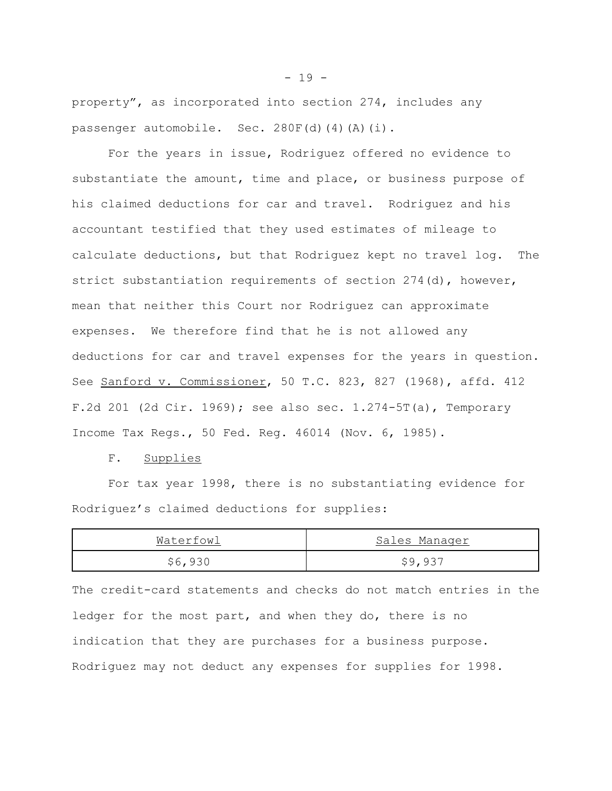property", as incorporated into section 274, includes any passenger automobile. Sec. 280F(d)(4)(A)(i).

For the years in issue, Rodriguez offered no evidence to substantiate the amount, time and place, or business purpose of his claimed deductions for car and travel. Rodriguez and his accountant testified that they used estimates of mileage to calculate deductions, but that Rodriguez kept no travel log. The strict substantiation requirements of section 274(d), however, mean that neither this Court nor Rodriguez can approximate expenses. We therefore find that he is not allowed any deductions for car and travel expenses for the years in question. See <u>Sanford v. Commissioner</u>, 50 T.C. 823, 827 (1968), affd. 412 F.2d 201 (2d Cir. 1969); see also sec. 1.274-5T(a), Temporary Income Tax Regs., 50 Fed. Reg. 46014 (Nov. 6, 1985).

#### F. Supplies

For tax year 1998, there is no substantiating evidence for Rodriguez's claimed deductions for supplies:

| Waterfowl | Sales Manager |
|-----------|---------------|
| \$6,930   | \$9,937       |

The credit-card statements and checks do not match entries in the ledger for the most part, and when they do, there is no indication that they are purchases for a business purpose. Rodriguez may not deduct any expenses for supplies for 1998.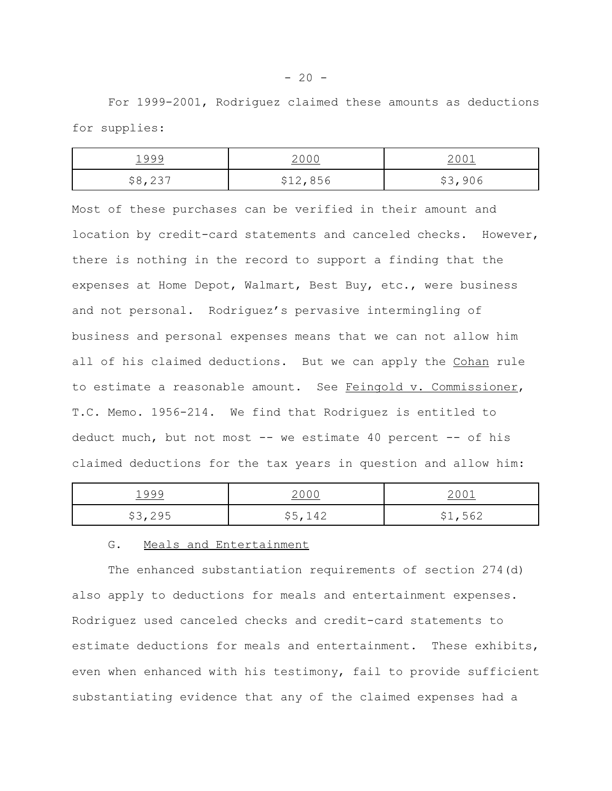For 1999-2001, Rodriguez claimed these amounts as deductions for supplies:

| 1999    | 2000     | 2001    |
|---------|----------|---------|
| \$8,237 | \$12,856 | \$3,906 |

Most of these purchases can be verified in their amount and location by credit-card statements and canceled checks. However, there is nothing in the record to support a finding that the expenses at Home Depot, Walmart, Best Buy, etc., were business and not personal. Rodriguez's pervasive intermingling of business and personal expenses means that we can not allow him all of his claimed deductions. But we can apply the Cohan rule to estimate a reasonable amount. See Feingold v. Commissioner, T.C. Memo. 1956-214. We find that Rodriguez is entitled to deduct much, but not most -- we estimate 40 percent -- of his claimed deductions for the tax years in question and allow him:

| 1999    | <u> 2 0 0 0</u>                  | 2001              |
|---------|----------------------------------|-------------------|
| \$3,295 | \$5 142<br>$\sim$ $\sim$<br>$ -$ | \$1,562<br>$   -$ |

## G. Meals and Entertainment

The enhanced substantiation requirements of section 274(d) also apply to deductions for meals and entertainment expenses. Rodriguez used canceled checks and credit-card statements to estimate deductions for meals and entertainment. These exhibits, even when enhanced with his testimony, fail to provide sufficient substantiating evidence that any of the claimed expenses had a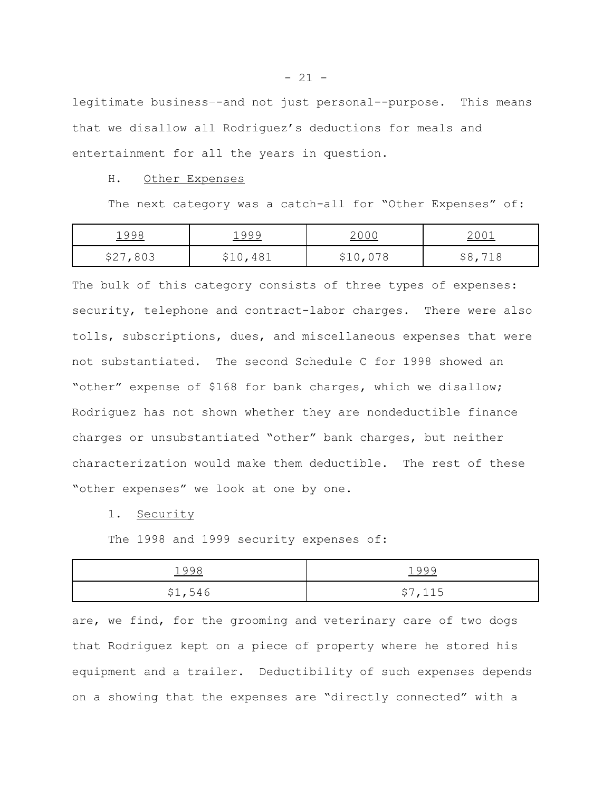legitimate business–-and not just personal--purpose. This means that we disallow all Rodriguez's deductions for meals and entertainment for all the years in question.

#### H. Other Expenses

The next category was a catch-all for "Other Expenses" of:

| 1998     | 1999                            | $\sqrt{2}$ | 2001 |
|----------|---------------------------------|------------|------|
| \$27,803 | .481<br>$\vee$ $\perp$ $\vee$ , | \$10,078   | ২୪,  |

The bulk of this category consists of three types of expenses: security, telephone and contract-labor charges. There were also tolls, subscriptions, dues, and miscellaneous expenses that were not substantiated. The second Schedule C for 1998 showed an "other" expense of \$168 for bank charges, which we disallow; Rodriguez has not shown whether they are nondeductible finance charges or unsubstantiated "other" bank charges, but neither characterization would make them deductible. The rest of these "other expenses" we look at one by one.

## 1. Security

The 1998 and 1999 security expenses of:

| 1998    | 1999         |
|---------|--------------|
| \$1,546 | \$7,115<br>ັ |

are, we find, for the grooming and veterinary care of two dogs that Rodriguez kept on a piece of property where he stored his equipment and a trailer. Deductibility of such expenses depends on a showing that the expenses are "directly connected" with a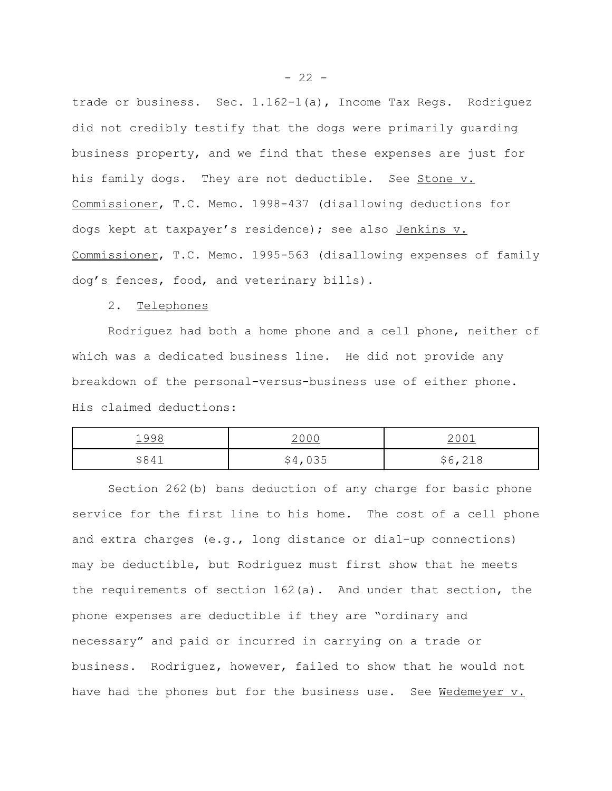trade or business. Sec. 1.162-1(a), Income Tax Regs. Rodriguez did not credibly testify that the dogs were primarily guarding business property, and we find that these expenses are just for his family dogs. They are not deductible. See Stone v. Commissioner, T.C. Memo. 1998-437 (disallowing deductions for dogs kept at taxpayer's residence); see also Jenkins v. Commissioner, T.C. Memo. 1995-563 (disallowing expenses of family dog's fences, food, and veterinary bills).

## 2. Telephones

Rodriguez had both a home phone and a cell phone, neither of which was a dedicated business line. He did not provide any breakdown of the personal-versus-business use of either phone. His claimed deductions:

| 1998     | 2000    | 2001           |
|----------|---------|----------------|
| 584<br>ັ | \$4,035 | \$6,218<br>∠⊥∪ |

Section 262(b) bans deduction of any charge for basic phone service for the first line to his home. The cost of a cell phone and extra charges (e.g., long distance or dial-up connections) may be deductible, but Rodriguez must first show that he meets the requirements of section 162(a). And under that section, the phone expenses are deductible if they are "ordinary and necessary" and paid or incurred in carrying on a trade or business. Rodriguez, however, failed to show that he would not have had the phones but for the business use. See Wedemeyer v.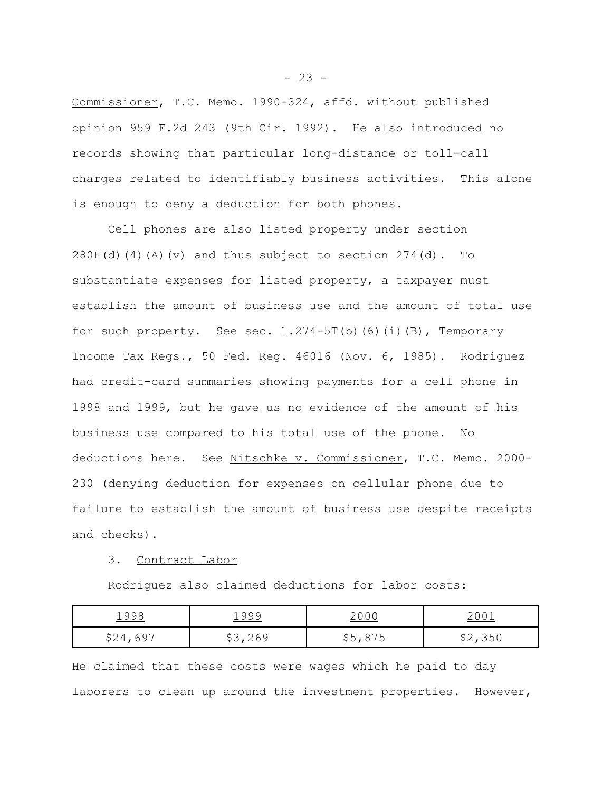Commissioner, T.C. Memo. 1990-324, affd. without published opinion 959 F.2d 243 (9th Cir. 1992). He also introduced no records showing that particular long-distance or toll-call charges related to identifiably business activities. This alone is enough to deny a deduction for both phones.

Cell phones are also listed property under section  $280F(d)$  (4)(A)(v) and thus subject to section  $274(d)$ . To substantiate expenses for listed property, a taxpayer must establish the amount of business use and the amount of total use for such property. See sec.  $1.274-5T(b)$  (6)(i)(B), Temporary Income Tax Regs., 50 Fed. Reg. 46016 (Nov. 6, 1985). Rodriguez had credit-card summaries showing payments for a cell phone in 1998 and 1999, but he gave us no evidence of the amount of his business use compared to his total use of the phone. No deductions here. See Nitschke v. Commissioner, T.C. Memo. 2000- 230 (denying deduction for expenses on cellular phone due to failure to establish the amount of business use despite receipts and checks).

## 3. Contract Labor

Rodriguez also claimed deductions for labor costs:

| 1998     | 1999    | 2000    | $-00+$  |
|----------|---------|---------|---------|
| \$24,697 | \$3,269 | \$5,875 | \$2,350 |

He claimed that these costs were wages which he paid to day laborers to clean up around the investment properties. However,

 $- 23 -$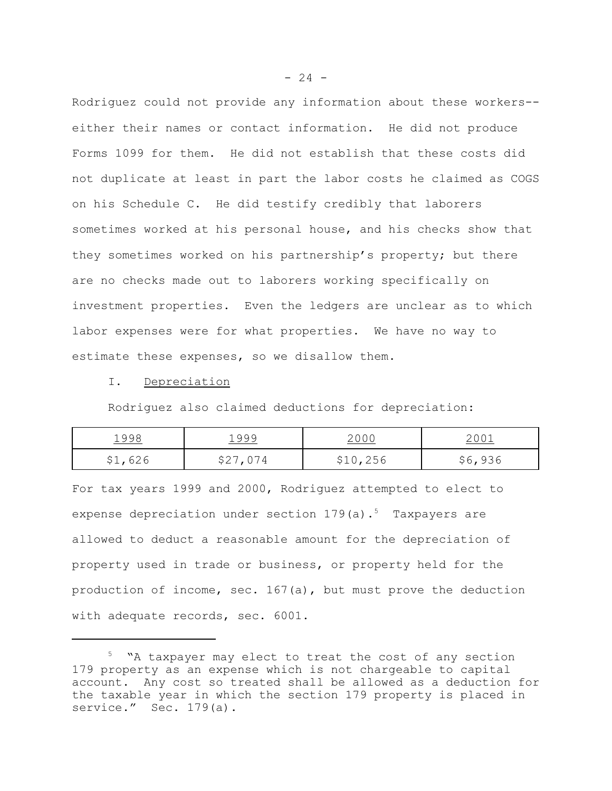Rodriguez could not provide any information about these workers- either their names or contact information. He did not produce Forms 1099 for them. He did not establish that these costs did not duplicate at least in part the labor costs he claimed as COGS on his Schedule C. He did testify credibly that laborers sometimes worked at his personal house, and his checks show that they sometimes worked on his partnership's property; but there are no checks made out to laborers working specifically on investment properties. Even the ledgers are unclear as to which labor expenses were for what properties. We have no way to estimate these expenses, so we disallow them.

I. Depreciation

Rodriguez also claimed deductions for depreciation:

| 1998    | 1999     | 2000     | 2001    |
|---------|----------|----------|---------|
| \$1,626 | \$27,074 | \$10,256 | \$6,936 |

For tax years 1999 and 2000, Rodriguez attempted to elect to expense depreciation under section  $179(a)$ .<sup>5</sup> Taxpayers are allowed to deduct a reasonable amount for the depreciation of property used in trade or business, or property held for the production of income, sec. 167(a), but must prove the deduction with adequate records, sec. 6001.

<sup>&</sup>lt;sup>5</sup> "A taxpayer may elect to treat the cost of any section 179 property as an expense which is not chargeable to capital account. Any cost so treated shall be allowed as a deduction for the taxable year in which the section 179 property is placed in service." Sec. 179(a).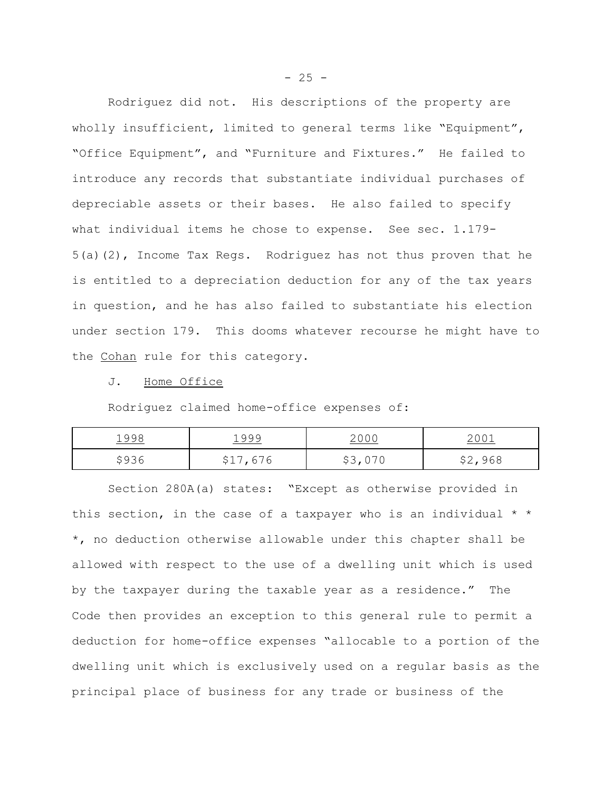Rodriguez did not. His descriptions of the property are wholly insufficient, limited to general terms like "Equipment", "Office Equipment", and "Furniture and Fixtures." He failed to introduce any records that substantiate individual purchases of depreciable assets or their bases. He also failed to specify what individual items he chose to expense. See sec. 1.179- 5(a)(2), Income Tax Regs. Rodriguez has not thus proven that he is entitled to a depreciation deduction for any of the tax years in question, and he has also failed to substantiate his election under section 179. This dooms whatever recourse he might have to the Cohan rule for this category.

#### J. Home Office

Rodriguez claimed home-office expenses of:

| <u> 1998</u> | 1999     | <u> 2000</u> | $200-$        |
|--------------|----------|--------------|---------------|
| \$936        | \$17,676 | 70, V 7 V    | \$2,968<br>YL |

Section 280A(a) states: "Except as otherwise provided in this section, in the case of a taxpayer who is an individual  $*$ \*, no deduction otherwise allowable under this chapter shall be allowed with respect to the use of a dwelling unit which is used by the taxpayer during the taxable year as a residence." The Code then provides an exception to this general rule to permit a deduction for home-office expenses "allocable to a portion of the dwelling unit which is exclusively used on a regular basis as the principal place of business for any trade or business of the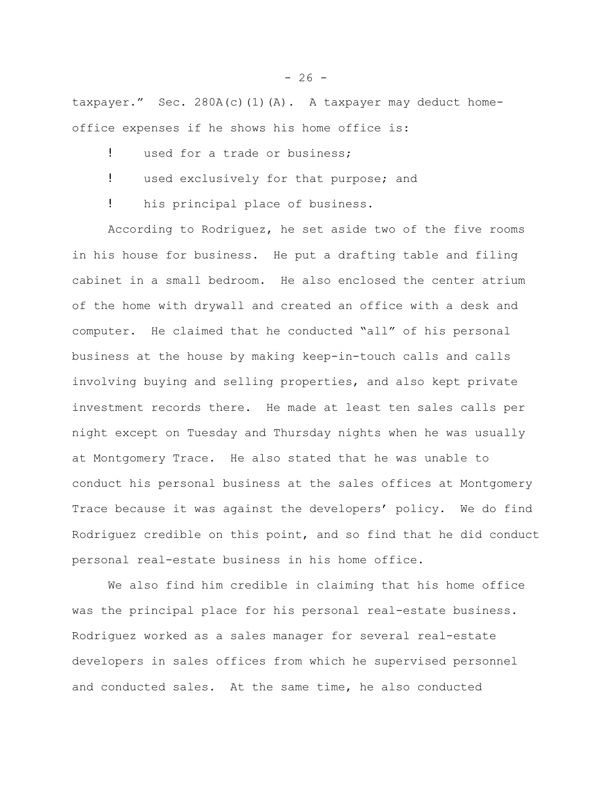taxpayer." Sec. 280A(c)(1)(A). A taxpayer may deduct homeoffice expenses if he shows his home office is:

- ! used for a trade or business;
- ! used exclusively for that purpose; and
- ! his principal place of business.

According to Rodriguez, he set aside two of the five rooms in his house for business. He put a drafting table and filing cabinet in a small bedroom. He also enclosed the center atrium of the home with drywall and created an office with a desk and computer. He claimed that he conducted "all" of his personal business at the house by making keep-in-touch calls and calls involving buying and selling properties, and also kept private investment records there. He made at least ten sales calls per night except on Tuesday and Thursday nights when he was usually at Montgomery Trace. He also stated that he was unable to conduct his personal business at the sales offices at Montgomery Trace because it was against the developers' policy. We do find Rodriguez credible on this point, and so find that he did conduct personal real-estate business in his home office.

We also find him credible in claiming that his home office was the principal place for his personal real-estate business. Rodriguez worked as a sales manager for several real-estate developers in sales offices from which he supervised personnel and conducted sales. At the same time, he also conducted

 $-26 -$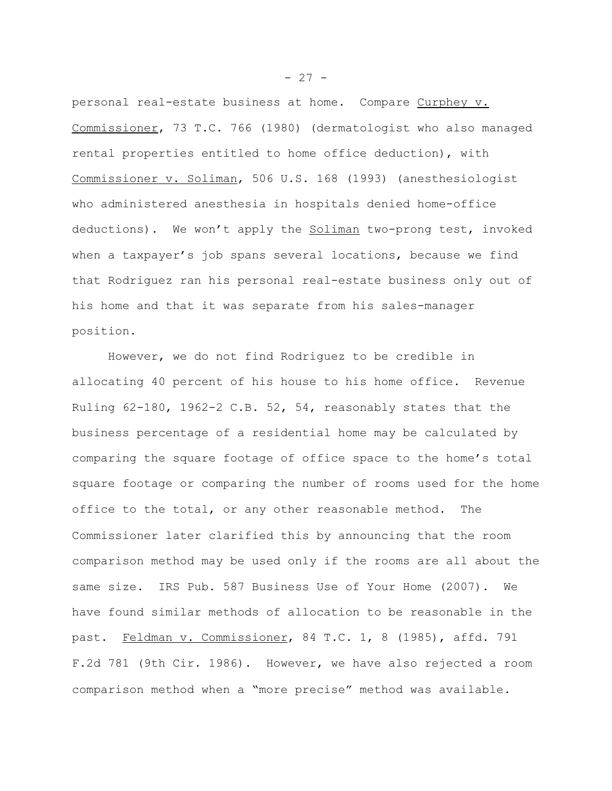personal real-estate business at home. Compare Curphey v. Commissioner, 73 T.C. 766 (1980) (dermatologist who also managed rental properties entitled to home office deduction), with Commissioner v. Soliman, 506 U.S. 168 (1993) (anesthesiologist who administered anesthesia in hospitals denied home-office deductions). We won't apply the Soliman two-prong test, invoked when a taxpayer's job spans several locations, because we find that Rodriguez ran his personal real-estate business only out of his home and that it was separate from his sales-manager position.

However, we do not find Rodriguez to be credible in allocating 40 percent of his house to his home office. Revenue Ruling 62-180, 1962-2 C.B. 52, 54, reasonably states that the business percentage of a residential home may be calculated by comparing the square footage of office space to the home's total square footage or comparing the number of rooms used for the home office to the total, or any other reasonable method. The Commissioner later clarified this by announcing that the room comparison method may be used only if the rooms are all about the same size. IRS Pub. 587 Business Use of Your Home (2007). We have found similar methods of allocation to be reasonable in the past. Feldman v. Commissioner, 84 T.C. 1, 8 (1985), affd. 791 F.2d 781 (9th Cir. 1986). However, we have also rejected a room comparison method when a "more precise" method was available.

 $- 27 -$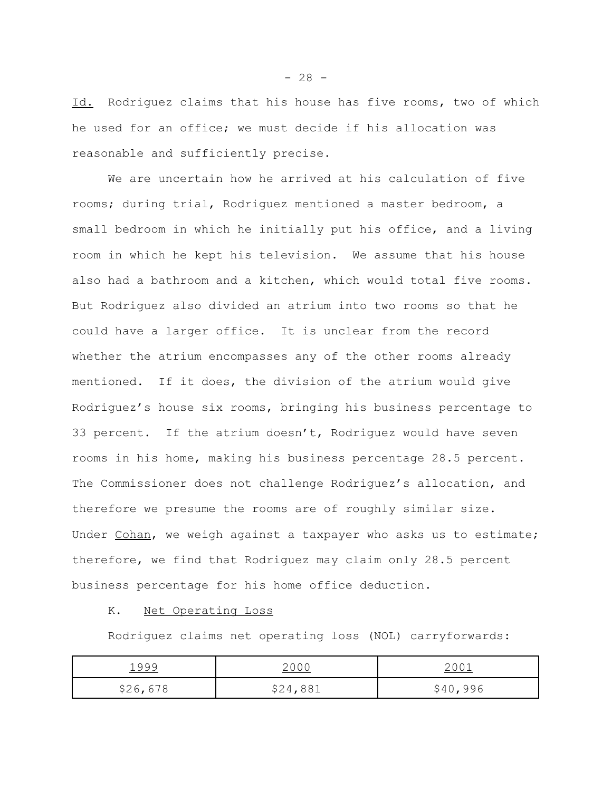Id. Rodriguez claims that his house has five rooms, two of which he used for an office; we must decide if his allocation was reasonable and sufficiently precise.

We are uncertain how he arrived at his calculation of five rooms; during trial, Rodriguez mentioned a master bedroom, a small bedroom in which he initially put his office, and a living room in which he kept his television. We assume that his house also had a bathroom and a kitchen, which would total five rooms. But Rodriguez also divided an atrium into two rooms so that he could have a larger office. It is unclear from the record whether the atrium encompasses any of the other rooms already mentioned. If it does, the division of the atrium would give Rodriguez's house six rooms, bringing his business percentage to 33 percent. If the atrium doesn't, Rodriguez would have seven rooms in his home, making his business percentage 28.5 percent. The Commissioner does not challenge Rodriguez's allocation, and therefore we presume the rooms are of roughly similar size. Under Cohan, we weigh against a taxpayer who asks us to estimate; therefore, we find that Rodriguez may claim only 28.5 percent business percentage for his home office deduction.

## K. Net Operating Loss

Rodriguez claims net operating loss (NOL) carryforwards:

| 1999     | 2000     | 2001     |
|----------|----------|----------|
| \$26,678 | \$24,881 | \$40,996 |

 $- 28 -$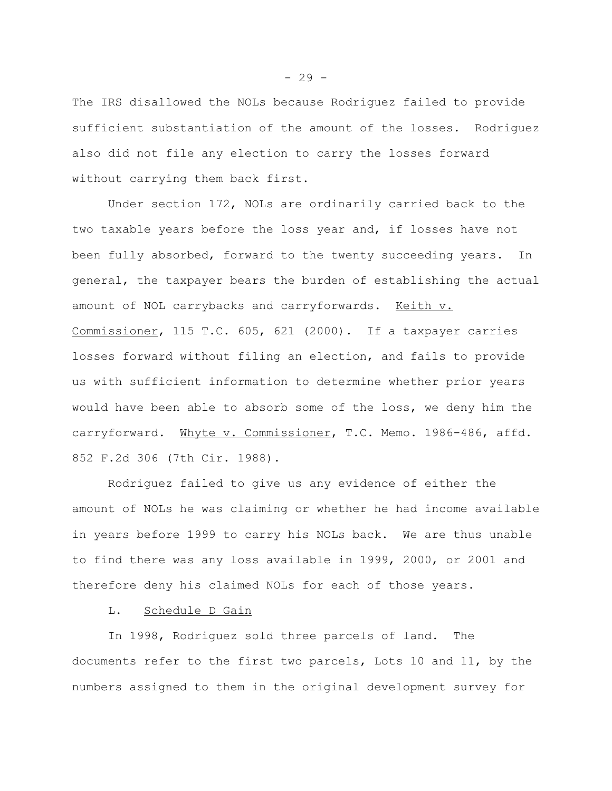The IRS disallowed the NOLs because Rodriguez failed to provide sufficient substantiation of the amount of the losses. Rodriguez also did not file any election to carry the losses forward without carrying them back first.

Under section 172, NOLs are ordinarily carried back to the two taxable years before the loss year and, if losses have not been fully absorbed, forward to the twenty succeeding years. In general, the taxpayer bears the burden of establishing the actual amount of NOL carrybacks and carryforwards. Keith v. Commissioner, 115 T.C. 605, 621 (2000). If a taxpayer carries losses forward without filing an election, and fails to provide us with sufficient information to determine whether prior years would have been able to absorb some of the loss, we deny him the carryforward. Whyte v. Commissioner, T.C. Memo. 1986-486, affd. 852 F.2d 306 (7th Cir. 1988).

Rodriguez failed to give us any evidence of either the amount of NOLs he was claiming or whether he had income available in years before 1999 to carry his NOLs back. We are thus unable to find there was any loss available in 1999, 2000, or 2001 and therefore deny his claimed NOLs for each of those years.

# L. Schedule D Gain

In 1998, Rodriguez sold three parcels of land. The documents refer to the first two parcels, Lots 10 and 11, by the numbers assigned to them in the original development survey for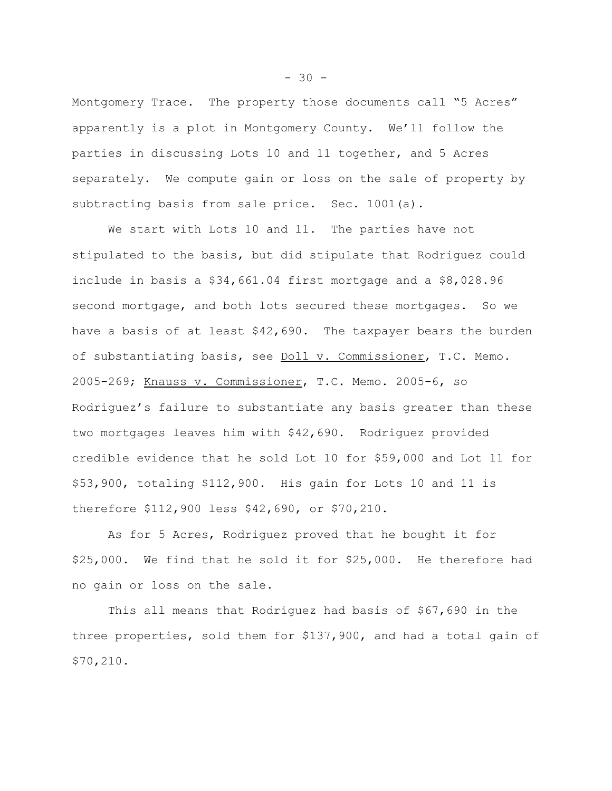Montgomery Trace. The property those documents call "5 Acres" apparently is a plot in Montgomery County. We'll follow the parties in discussing Lots 10 and 11 together, and 5 Acres separately. We compute gain or loss on the sale of property by subtracting basis from sale price. Sec. 1001(a).

We start with Lots 10 and 11. The parties have not stipulated to the basis, but did stipulate that Rodriguez could include in basis a \$34,661.04 first mortgage and a \$8,028.96 second mortgage, and both lots secured these mortgages. So we have a basis of at least \$42,690. The taxpayer bears the burden of substantiating basis, see Doll v. Commissioner, T.C. Memo. 2005-269; Knauss v. Commissioner, T.C. Memo. 2005-6, so Rodriguez's failure to substantiate any basis greater than these two mortgages leaves him with \$42,690. Rodriguez provided credible evidence that he sold Lot 10 for \$59,000 and Lot 11 for \$53,900, totaling \$112,900. His gain for Lots 10 and 11 is therefore \$112,900 less \$42,690, or \$70,210.

As for 5 Acres, Rodriguez proved that he bought it for \$25,000. We find that he sold it for \$25,000. He therefore had no gain or loss on the sale.

This all means that Rodriguez had basis of \$67,690 in the three properties, sold them for \$137,900, and had a total gain of \$70,210.

 $-30 -$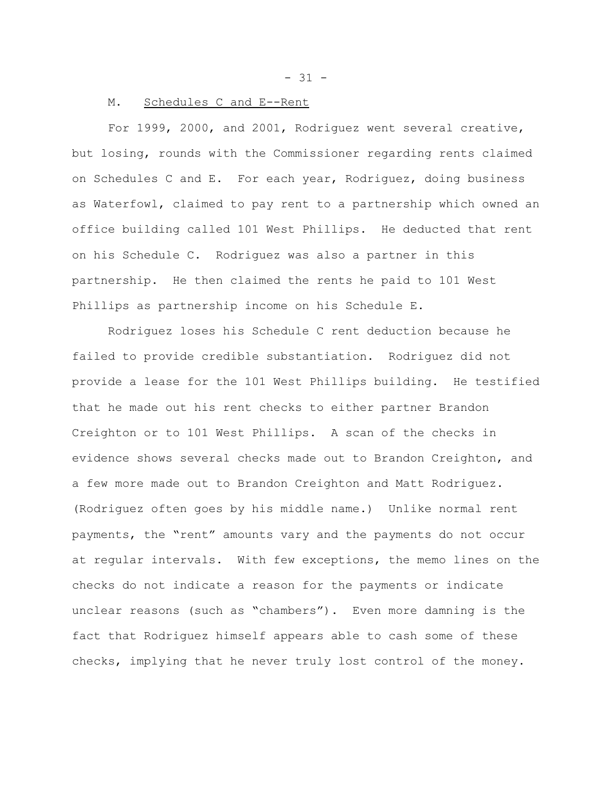$- 31 -$ 

## M. Schedules C and E--Rent

For 1999, 2000, and 2001, Rodriguez went several creative, but losing, rounds with the Commissioner regarding rents claimed on Schedules C and E. For each year, Rodriguez, doing business as Waterfowl, claimed to pay rent to a partnership which owned an office building called 101 West Phillips. He deducted that rent on his Schedule C. Rodriguez was also a partner in this partnership. He then claimed the rents he paid to 101 West Phillips as partnership income on his Schedule E.

Rodriguez loses his Schedule C rent deduction because he failed to provide credible substantiation. Rodriguez did not provide a lease for the 101 West Phillips building. He testified that he made out his rent checks to either partner Brandon Creighton or to 101 West Phillips. A scan of the checks in evidence shows several checks made out to Brandon Creighton, and a few more made out to Brandon Creighton and Matt Rodriguez. (Rodriguez often goes by his middle name.) Unlike normal rent payments, the "rent" amounts vary and the payments do not occur at regular intervals. With few exceptions, the memo lines on the checks do not indicate a reason for the payments or indicate unclear reasons (such as "chambers"). Even more damning is the fact that Rodriguez himself appears able to cash some of these checks, implying that he never truly lost control of the money.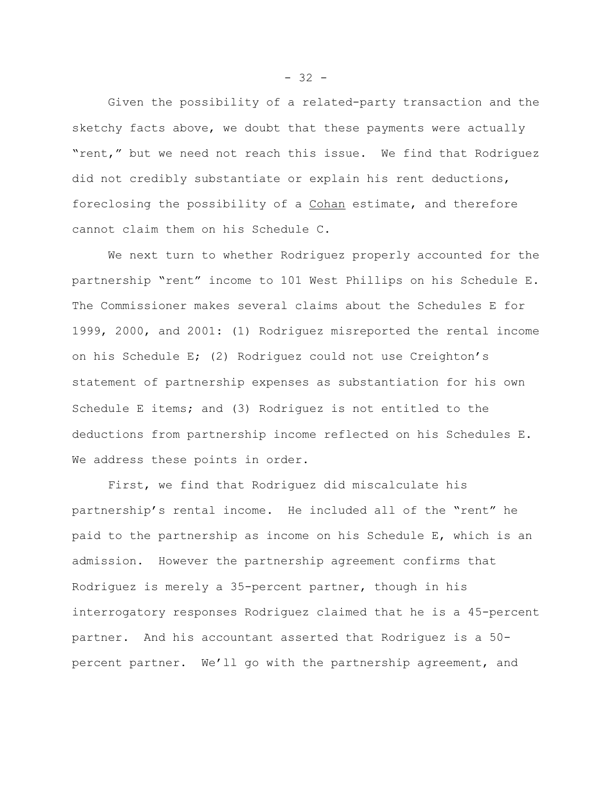Given the possibility of a related-party transaction and the sketchy facts above, we doubt that these payments were actually "rent," but we need not reach this issue. We find that Rodriguez did not credibly substantiate or explain his rent deductions, foreclosing the possibility of a Cohan estimate, and therefore cannot claim them on his Schedule C.

We next turn to whether Rodriguez properly accounted for the partnership "rent" income to 101 West Phillips on his Schedule E. The Commissioner makes several claims about the Schedules E for 1999, 2000, and 2001: (1) Rodriguez misreported the rental income on his Schedule E; (2) Rodriguez could not use Creighton's statement of partnership expenses as substantiation for his own Schedule E items; and (3) Rodriguez is not entitled to the deductions from partnership income reflected on his Schedules E. We address these points in order.

First, we find that Rodriguez did miscalculate his partnership's rental income. He included all of the "rent" he paid to the partnership as income on his Schedule E, which is an admission. However the partnership agreement confirms that Rodriguez is merely a 35-percent partner, though in his interrogatory responses Rodriguez claimed that he is a 45-percent partner. And his accountant asserted that Rodriguez is a 50 percent partner. We'll go with the partnership agreement, and

 $- 32 -$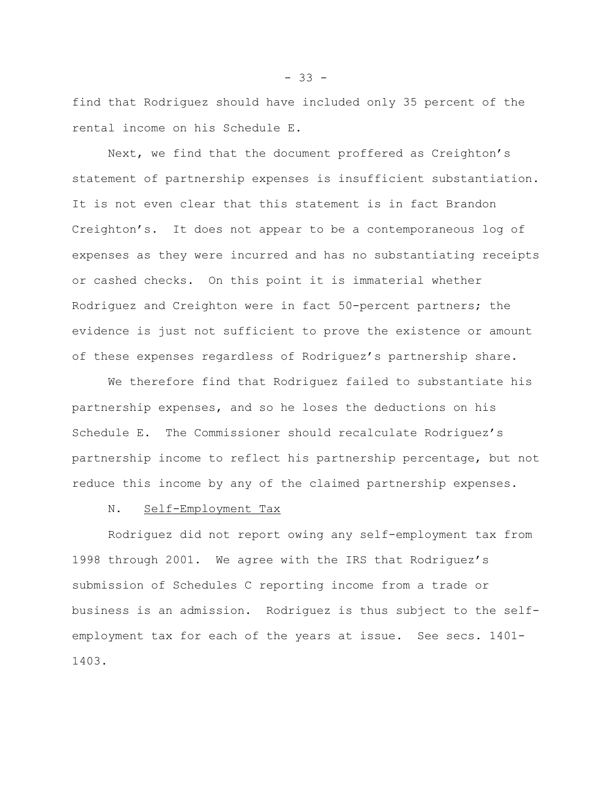find that Rodriguez should have included only 35 percent of the rental income on his Schedule E.

Next, we find that the document proffered as Creighton's statement of partnership expenses is insufficient substantiation. It is not even clear that this statement is in fact Brandon Creighton's. It does not appear to be a contemporaneous log of expenses as they were incurred and has no substantiating receipts or cashed checks. On this point it is immaterial whether Rodriguez and Creighton were in fact 50-percent partners; the evidence is just not sufficient to prove the existence or amount of these expenses regardless of Rodriguez's partnership share.

We therefore find that Rodriguez failed to substantiate his partnership expenses, and so he loses the deductions on his Schedule E. The Commissioner should recalculate Rodriguez's partnership income to reflect his partnership percentage, but not reduce this income by any of the claimed partnership expenses.

#### N. Self-Employment Tax

Rodriguez did not report owing any self-employment tax from 1998 through 2001. We agree with the IRS that Rodriguez's submission of Schedules C reporting income from a trade or business is an admission. Rodriguez is thus subject to the selfemployment tax for each of the years at issue. See secs. 1401- 1403.

- 33 -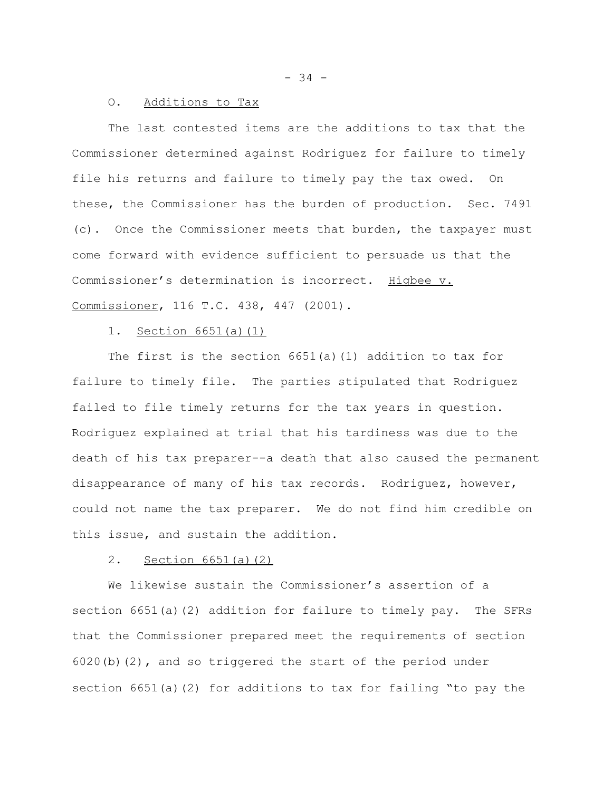- 34 -

#### O. Additions to Tax

The last contested items are the additions to tax that the Commissioner determined against Rodriguez for failure to timely file his returns and failure to timely pay the tax owed. On these, the Commissioner has the burden of production. Sec. 7491 (c). Once the Commissioner meets that burden, the taxpayer must come forward with evidence sufficient to persuade us that the Commissioner's determination is incorrect. Higbee v. Commissioner, 116 T.C. 438, 447 (2001).

# 1. Section 6651(a)(1)

The first is the section 6651(a)(1) addition to tax for failure to timely file. The parties stipulated that Rodriguez failed to file timely returns for the tax years in question. Rodriguez explained at trial that his tardiness was due to the death of his tax preparer--a death that also caused the permanent disappearance of many of his tax records. Rodriguez, however, could not name the tax preparer. We do not find him credible on this issue, and sustain the addition.

## 2. Section 6651(a)(2)

We likewise sustain the Commissioner's assertion of a section 6651(a)(2) addition for failure to timely pay. The SFRs that the Commissioner prepared meet the requirements of section 6020(b)(2)**,** and so triggered the start of the period under section 6651(a)(2) for additions to tax for failing "to pay the